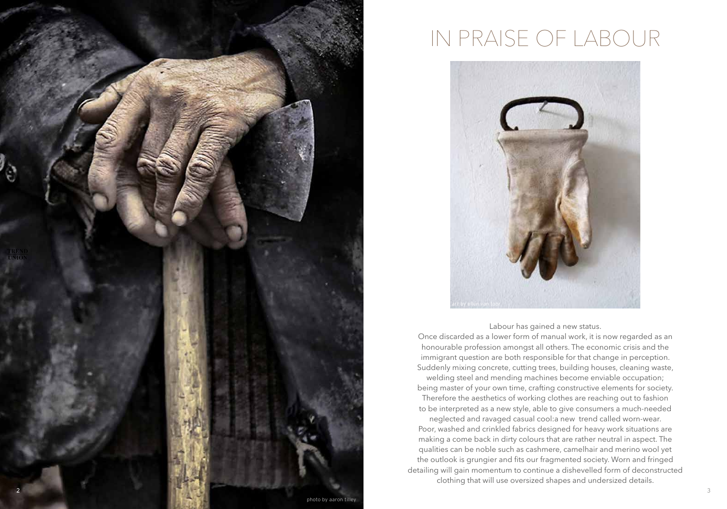

## IN PRAISE OF LABOUR



#### Labour has gained a new status.

Once discarded as a lower form of manual work, it is now regarded as an honourable profession amongst all others. The economic crisis and the immigrant question are both responsible for that change in perception. Suddenly mixing concrete, cutting trees, building houses, cleaning waste, welding steel and mending machines become enviable occupation;

being master of your own time, crafting constructive elements for society. Therefore the aesthetics of working clothes are reaching out to fashion to be interpreted as a new style, able to give consumers a much-needed

neglected and ravaged casual cool:a new trend called worn-wear. Poor, washed and crinkled fabrics designed for heavy work situations are making a come back in dirty colours that are rather neutral in aspect. The qualities can be noble such as cashmere, camelhair and merino wool yet the outlook is grungier and fits our fragmented society. Worn and fringed detailing will gain momentum to continue a dishevelled form of deconstructed clothing that will use oversized shapes and undersized details.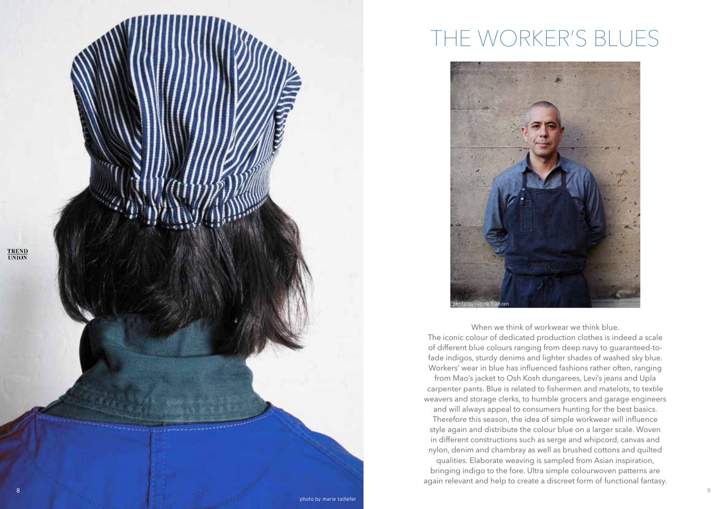

### THE WORKER'S BLUES



When we think of workwear we think blue. The iconic colour of dedicated production clothes is indeed a scale of different blue colours ranging from deep navy to guaranteed-tofade indigos, sturdy denims and lighter shades of washed sky blue. Workers' wear in blue has influenced fashions rather often, ranging from Mao's jacket to Osh Kosh dungarees, Levi's jeans and Upla

carpenter pants. Blue is related to fishermen and matelots, to textile weavers and storage clerks, to humble grocers and garage engineers

and will always appeal to consumers hunting for the best basics. Therefore this season, the idea of simple workwear will influence style again and distribute the colour blue on a larger scale. Woven in different constructions such as serge and whipcord, canvas and nylon, denim and chambray as well as brushed cottons and quilted

qualities. Elaborate weaving is sampled from Asian inspiration, bringing indigo to the fore. Ultra simple colourwoven patterns are again relevant and help to create a discreet form of functional fantasy.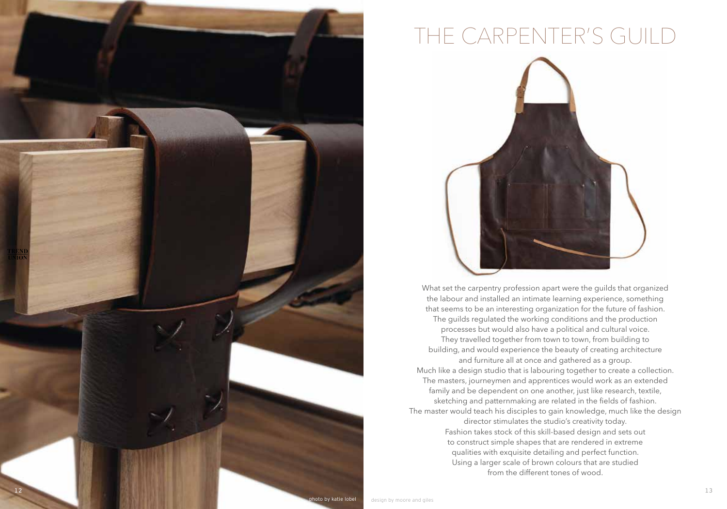

# THE CARPENTER'S GUILD



What set the carpentry profession apart were the guilds that organized the labour and installed an intimate learning experience, something that seems to be an interesting organization for the future of fashion. The guilds regulated the working conditions and the production processes but would also have a political and cultural voice. They travelled together from town to town, from building to building, and would experience the beauty of creating architecture and furniture all at once and gathered as a group. Much like a design studio that is labouring together to create a collection. The masters, journeymen and apprentices would work as an extended family and be dependent on one another, just like research, textile, sketching and patternmaking are related in the fields of fashion. The master would teach his disciples to gain knowledge, much like the design director stimulates the studio's creativity today. Fashion takes stock of this skill-based design and sets out to construct simple shapes that are rendered in extreme qualities with exquisite detailing and perfect function. Using a larger scale of brown colours that are studied from the different tones of wood.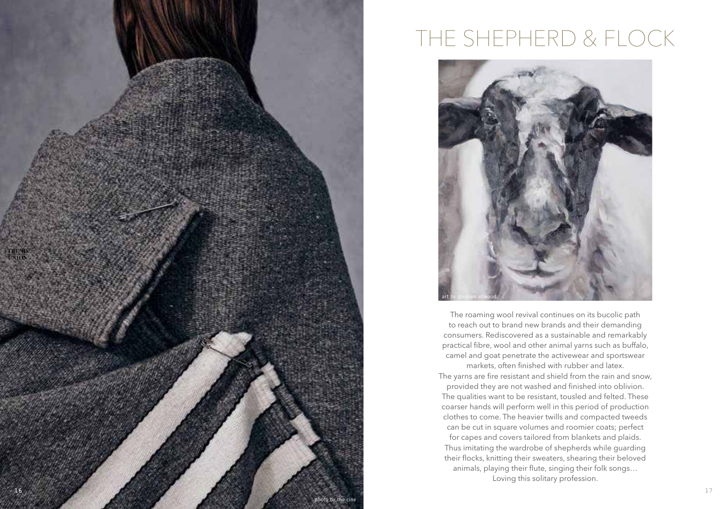

## THE SHEPHERD & FLOCK



The roaming wool revival continues on its bucolic path to reach out to brand new brands and their demanding consumers. Rediscovered as a sustainable and remarkably practical fibre, wool and other animal yarns such as buffalo, camel and goat penetrate the activewear and sportswear markets, often finished with rubber and latex. The yarns are fire resistant and shield from the rain and snow, provided they are not washed and finished into oblivion. The qualities want to be resistant, tousled and felted. These coarser hands will perform well in this period of production clothes to come. The heavier twills and compacted tweeds can be cut in square volumes and roomier coats; perfect for capes and covers tailored from blankets and plaids. Thus imitating the wardrobe of shepherds while guarding their flocks, knitting their sweaters, shearing their beloved animals, playing their flute, singing their folk songs… Loving this solitary profession.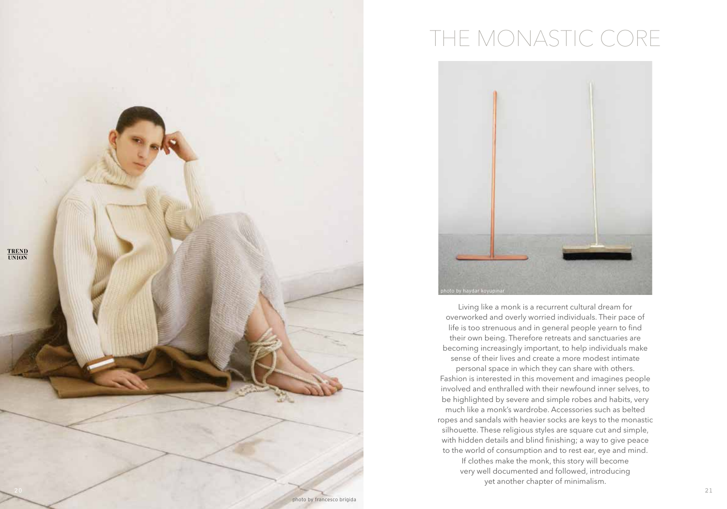

# THE MONASTIC CORE



Living like a monk is a recurrent cultural dream for overworked and overly worried individuals. Their pace of life is too strenuous and in general people yearn to find their own being. Therefore retreats and sanctuaries are becoming increasingly important, to help individuals make sense of their lives and create a more modest intimate personal space in which they can share with others. Fashion is interested in this movement and imagines people involved and enthralled with their newfound inner selves, to be highlighted by severe and simple robes and habits, very much like a monk's wardrobe. Accessories such as belted ropes and sandals with heavier socks are keys to the monastic silhouette. These religious styles are square cut and simple, with hidden details and blind finishing; a way to give peace to the world of consumption and to rest ear, eye and mind.

If clothes make the monk, this story will become very well documented and followed, introducing yet another chapter of minimalism.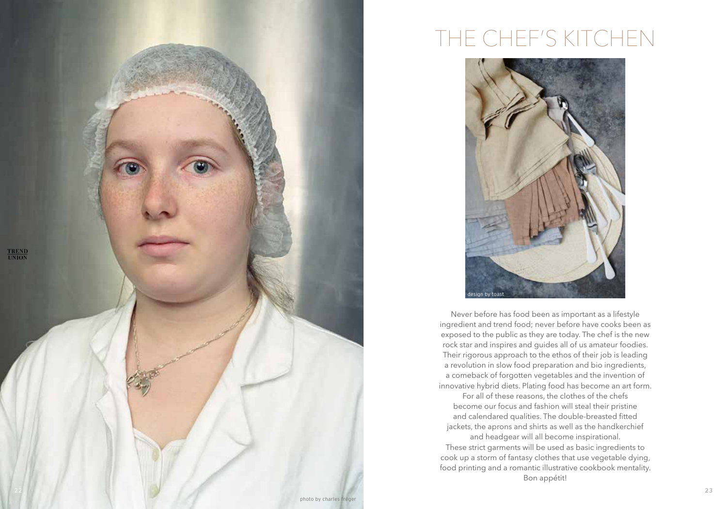

## THE CHEF'S KITCHEN



Never before has food been as important as a lifestyle ingredient and trend food; never before have cooks been as exposed to the public as they are today. The chef is the new rock star and inspires and guides all of us amateur foodies. Their rigorous approach to the ethos of their job is leading a revolution in slow food preparation and bio ingredients, a comeback of forgotten vegetables and the invention of innovative hybrid diets. Plating food has become an art form.

For all of these reasons, the clothes of the chefs become our focus and fashion will steal their pristine and calendared qualities. The double-breasted fitted jackets, the aprons and shirts as well as the handkerchief

and headgear will all become inspirational. These strict garments will be used as basic ingredients to cook up a storm of fantasy clothes that use vegetable dying, food printing and a romantic illustrative cookbook mentality. Bon appétit!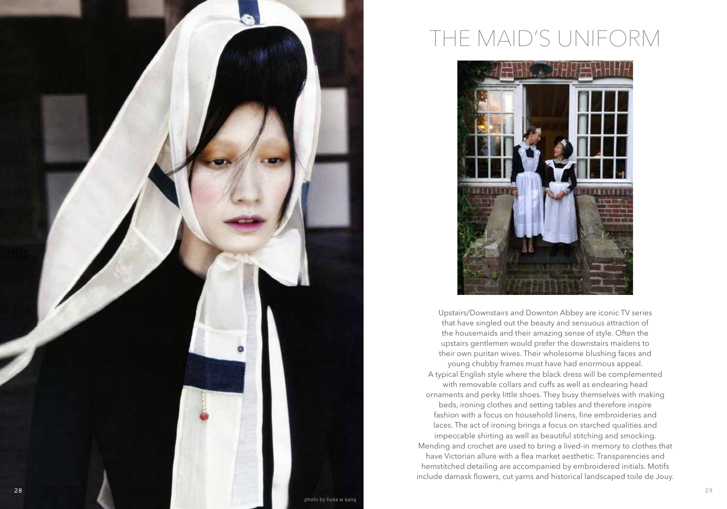

### THE MAID'S UNIFORM



Upstairs/Downstairs and Downton Abbey are iconic TV series that have singled out the beauty and sensuous attraction of the housemaids and their amazing sense of style. Often the upstairs gentlemen would prefer the downstairs maidens to their own puritan wives. Their wholesome blushing faces and young chubby frames must have had enormous appeal. A typical English style where the black dress will be complemented with removable collars and cuffs as well as endearing head ornaments and perky little shoes. They busy themselves with making beds, ironing clothes and setting tables and therefore inspire fashion with a focus on household linens, fine embroideries and laces. The act of ironing brings a focus on starched qualities and impeccable shirting as well as beautiful stitching and smocking. Mending and crochet are used to bring a lived-in memory to clothes that have Victorian allure with a flea market aesthetic. Transparencies and hemstitched detailing are accompanied by embroidered initials. Motifs include damask flowers, cut yarns and historical landscaped toile de Jouy.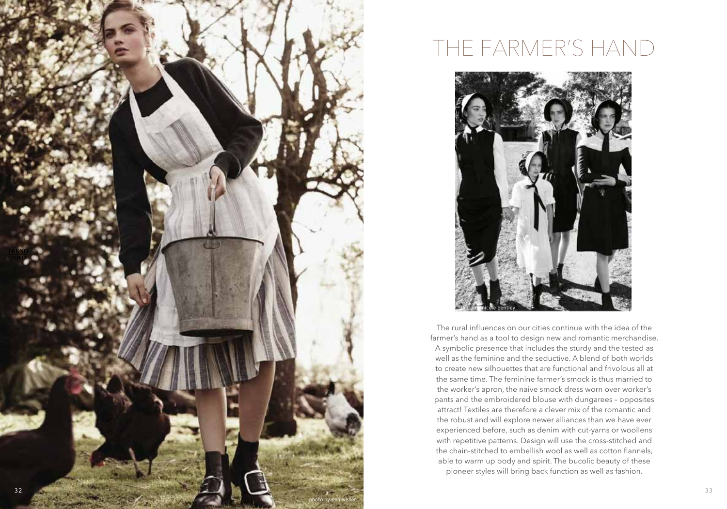

#### THE FARMER'S HAND



The rural influences on our cities continue with the idea of the farmer's hand as a tool to design new and romantic merchandise. A symbolic presence that includes the sturdy and the tested as well as the feminine and the seductive. A blend of both worlds to create new silhouettes that are functional and frivolous all at the same time. The feminine farmer's smock is thus married to the worker's apron, the naive smock dress worn over worker's pants and the embroidered blouse with dungarees – opposites attract! Textiles are therefore a clever mix of the romantic and the robust and will explore newer alliances than we have ever experienced before, such as denim with cut-yarns or woollens with repetitive patterns. Design will use the cross-stitched and the chain-stitched to embellish wool as well as cotton flannels, able to warm up body and spirit. The bucolic beauty of these pioneer styles will bring back function as well as fashion.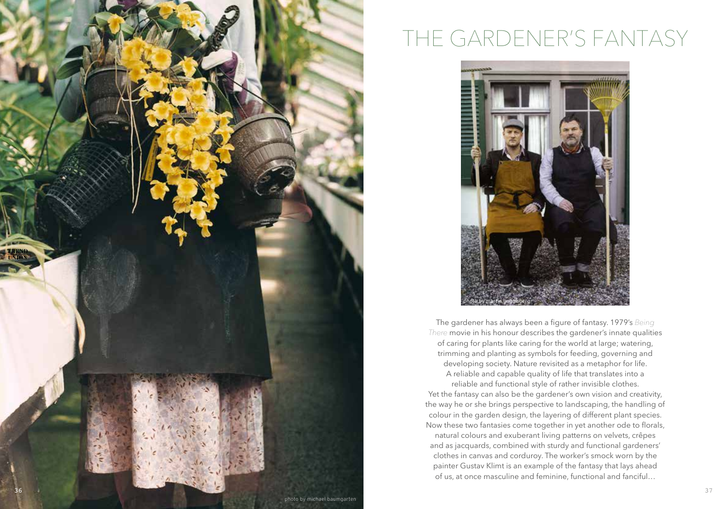

## THE GARDENER'S FANTASY



The gardener has always been a figure of fantasy. 1979's *Being There* movie in his honour describes the gardener's innate qualities of caring for plants like caring for the world at large; watering, trimming and planting as symbols for feeding, governing and developing society. Nature revisited as a metaphor for life. A reliable and capable quality of life that translates into a reliable and functional style of rather invisible clothes. Yet the fantasy can also be the gardener's own vision and creativity, the way he or she brings perspective to landscaping, the handling of colour in the garden design, the layering of different plant species. Now these two fantasies come together in yet another ode to florals, natural colours and exuberant living patterns on velvets, crêpes and as jacquards, combined with sturdy and functional gardeners' clothes in canvas and corduroy. The worker's smock worn by the painter Gustav Klimt is an example of the fantasy that lays ahead of us, at once masculine and feminine, functional and fanciful…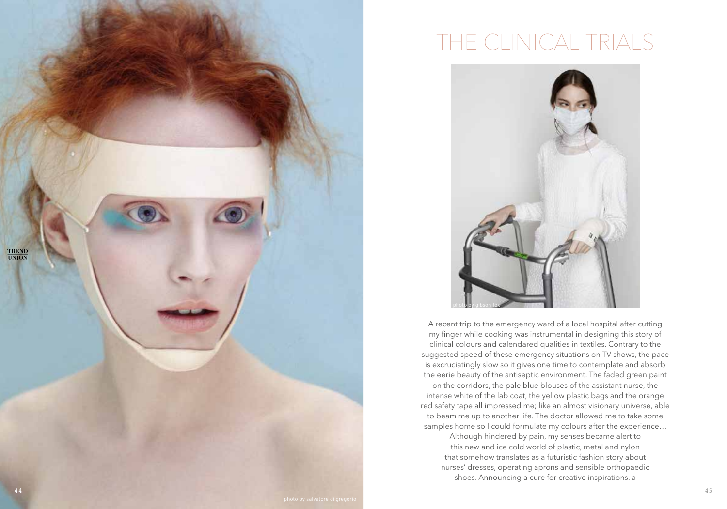

## THE CLINICAL TRIALS



A recent trip to the emergency ward of a local hospital after cutting my finger while cooking was instrumental in designing this story of clinical colours and calendared qualities in textiles. Contrary to the suggested speed of these emergency situations on TV shows, the pace is excruciatingly slow so it gives one time to contemplate and absorb the eerie beauty of the antiseptic environment. The faded green paint on the corridors, the pale blue blouses of the assistant nurse, the intense white of the lab coat, the yellow plastic bags and the orange red safety tape all impressed me; like an almost visionary universe, able to beam me up to another life. The doctor allowed me to take some samples home so I could formulate my colours after the experience…

Although hindered by pain, my senses became alert to this new and ice cold world of plastic, metal and nylon that somehow translates as a futuristic fashion story about nurses' dresses, operating aprons and sensible orthopaedic shoes. Announcing a cure for creative inspirations. a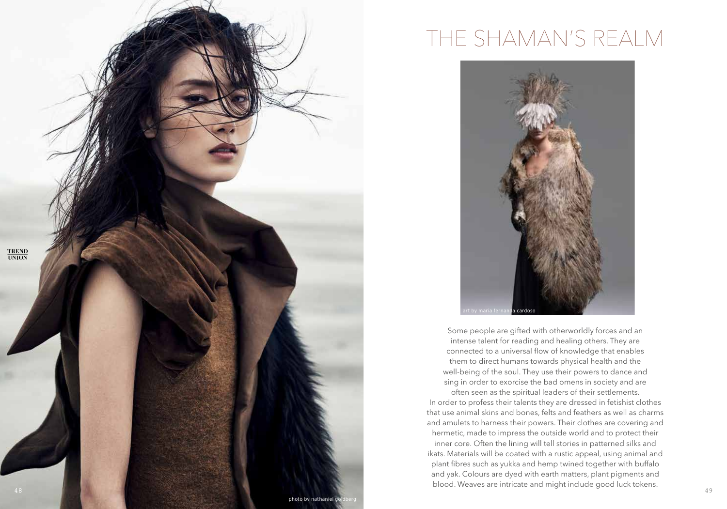

#### THE SHAMAN'S REALM



Some people are gifted with otherworldly forces and an intense talent for reading and healing others. They are connected to a universal flow of knowledge that enables them to direct humans towards physical health and the well-being of the soul. They use their powers to dance and sing in order to exorcise the bad omens in society and are often seen as the spiritual leaders of their settlements. In order to profess their talents they are dressed in fetishist clothes that use animal skins and bones, felts and feathers as well as charms and amulets to harness their powers. Their clothes are covering and hermetic, made to impress the outside world and to protect their inner core. Often the lining will tell stories in patterned silks and ikats. Materials will be coated with a rustic appeal, using animal and plant fibres such as yukka and hemp twined together with buffalo and yak. Colours are dyed with earth matters, plant pigments and blood. Weaves are intricate and might include good luck tokens.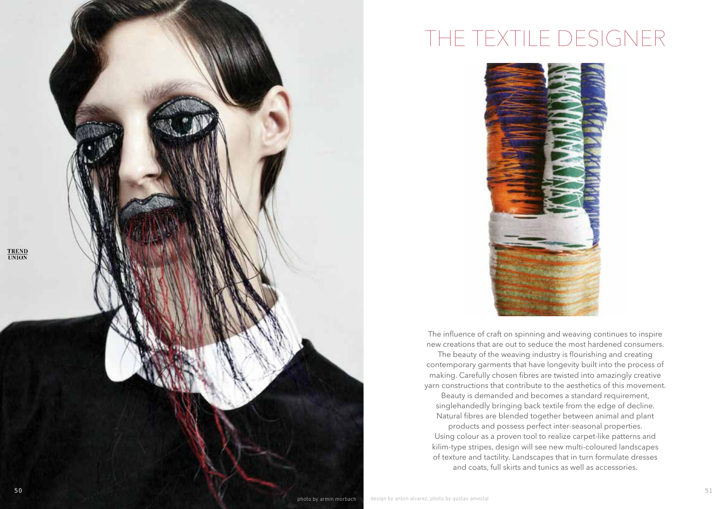# THE TEXTILE DESIGNER



The influence of craft on spinning and weaving continues to inspire new creations that are out to seduce the most hardened consumers.

The beauty of the weaving industry is flourishing and creating contemporary garments that have longevity built into the process of making. Carefully chosen fibres are twisted into amazingly creative yarn constructions that contribute to the aesthetics of this movement.

Beauty is demanded and becomes a standard requirement, singlehandedly bringing back textile from the edge of decline. Natural fibres are blended together between animal and plant

products and possess perfect inter-seasonal properties. Using colour as a proven tool to realize carpet-like patterns and kilim-type stripes, design will see new multi-coloured landscapes of texture and tactility. Landscapes that in turn formulate dresses and coats, full skirts and tunics as well as accessories.

**TREND**<br>UNION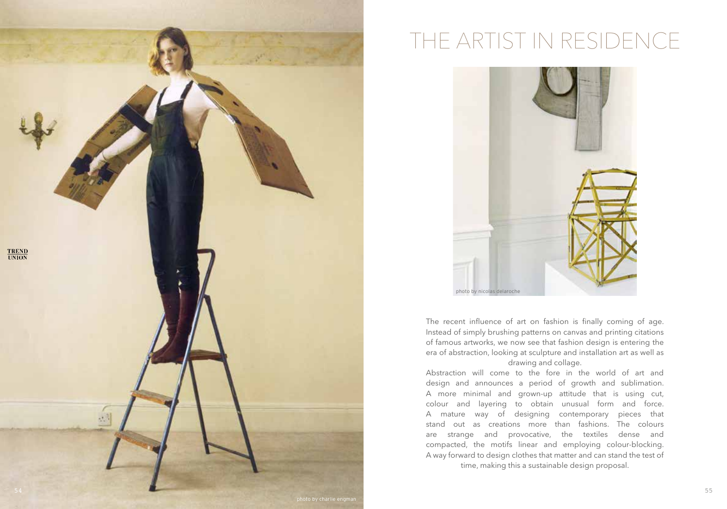

# THE ARTIST IN RESIDENCE



The recent influence of art on fashion is finally coming of age. Instead of simply brushing patterns on canvas and printing citations of famous artworks, we now see that fashion design is entering the era of abstraction, looking at sculpture and installation art as well as drawing and collage.

Abstraction will come to the fore in the world of art and design and announces a period of growth and sublimation. A more minimal and grown-up attitude that is using cut, colour and layering to obtain unusual form and force. A mature way of designing contemporary pieces that stand out as creations more than fashions. The colours are strange and provocative, the textiles dense and compacted, the motifs linear and employing colour-blocking. A way forward to design clothes that matter and can stand the test of time, making this a sustainable design proposal.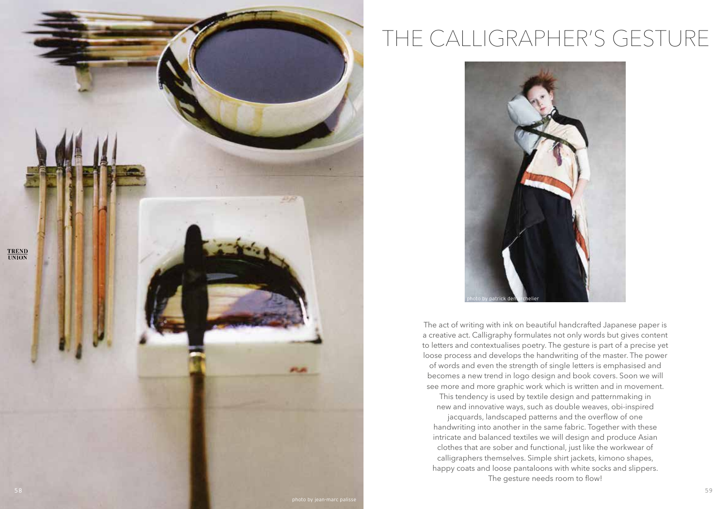

# THE CALLIGRAPHER'S GESTURE



The act of writing with ink on beautiful handcrafted Japanese paper is a creative act. Calligraphy formulates not only words but gives content to letters and contextualises poetry. The gesture is part of a precise yet loose process and develops the handwriting of the master. The power of words and even the strength of single letters is emphasised and becomes a new trend in logo design and book covers. Soon we will see more and more graphic work which is written and in movement.

This tendency is used by textile design and patternmaking in new and innovative ways, such as double weaves, obi-inspired

jacquards, landscaped patterns and the overflow of one handwriting into another in the same fabric. Together with these intricate and balanced textiles we will design and produce Asian clothes that are sober and functional, just like the workwear of calligraphers themselves. Simple shirt jackets, kimono shapes, happy coats and loose pantaloons with white socks and slippers. The gesture needs room to flow!